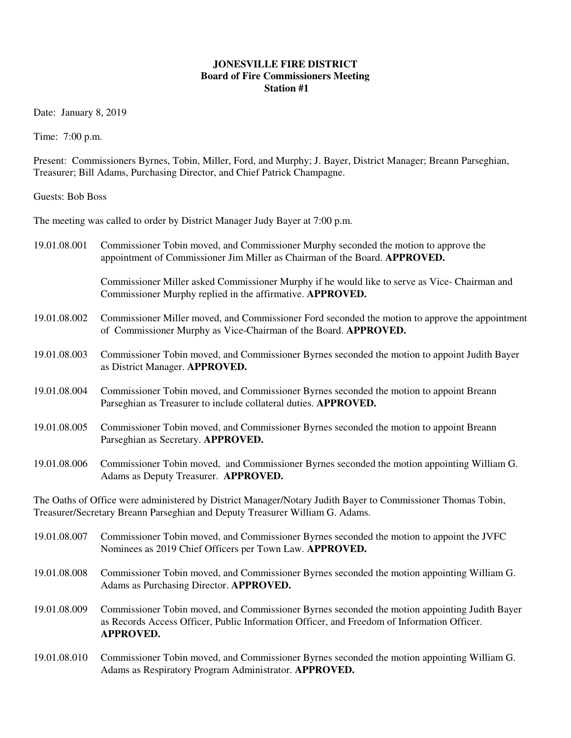## **JONESVILLE FIRE DISTRICT Board of Fire Commissioners Meeting Station #1**

Date: January 8, 2019

Time: 7:00 p.m.

Present: Commissioners Byrnes, Tobin, Miller, Ford, and Murphy; J. Bayer, District Manager; Breann Parseghian, Treasurer; Bill Adams, Purchasing Director, and Chief Patrick Champagne.

Guests: Bob Boss

The meeting was called to order by District Manager Judy Bayer at 7:00 p.m.

| 19.01.08.001                                                                                                                                                                                | Commissioner Tobin moved, and Commissioner Murphy seconded the motion to approve the<br>appointment of Commissioner Jim Miller as Chairman of the Board. APPROVED.                                              |  |  |  |
|---------------------------------------------------------------------------------------------------------------------------------------------------------------------------------------------|-----------------------------------------------------------------------------------------------------------------------------------------------------------------------------------------------------------------|--|--|--|
|                                                                                                                                                                                             | Commissioner Miller asked Commissioner Murphy if he would like to serve as Vice-Chairman and<br>Commissioner Murphy replied in the affirmative. APPROVED.                                                       |  |  |  |
| 19.01.08.002                                                                                                                                                                                | Commissioner Miller moved, and Commissioner Ford seconded the motion to approve the appointment<br>of Commissioner Murphy as Vice-Chairman of the Board. APPROVED.                                              |  |  |  |
| 19.01.08.003                                                                                                                                                                                | Commissioner Tobin moved, and Commissioner Byrnes seconded the motion to appoint Judith Bayer<br>as District Manager. APPROVED.                                                                                 |  |  |  |
| 19.01.08.004                                                                                                                                                                                | Commissioner Tobin moved, and Commissioner Byrnes seconded the motion to appoint Breann<br>Parseghian as Treasurer to include collateral duties. APPROVED.                                                      |  |  |  |
| 19.01.08.005                                                                                                                                                                                | Commissioner Tobin moved, and Commissioner Byrnes seconded the motion to appoint Breann<br>Parseghian as Secretary. APPROVED.                                                                                   |  |  |  |
| 19.01.08.006                                                                                                                                                                                | Commissioner Tobin moved, and Commissioner Byrnes seconded the motion appointing William G.<br>Adams as Deputy Treasurer. APPROVED.                                                                             |  |  |  |
| The Oaths of Office were administered by District Manager/Notary Judith Bayer to Commissioner Thomas Tobin,<br>Treasurer/Secretary Breann Parseghian and Deputy Treasurer William G. Adams. |                                                                                                                                                                                                                 |  |  |  |
| 19.01.08.007                                                                                                                                                                                | Commissioner Tobin moved, and Commissioner Byrnes seconded the motion to appoint the JVFC<br>Nominees as 2019 Chief Officers per Town Law. APPROVED.                                                            |  |  |  |
| 19.01.08.008                                                                                                                                                                                | Commissioner Tobin moved, and Commissioner Byrnes seconded the motion appointing William G.<br>Adams as Purchasing Director. APPROVED.                                                                          |  |  |  |
| 19.01.08.009                                                                                                                                                                                | Commissioner Tobin moved, and Commissioner Byrnes seconded the motion appointing Judith Bayer<br>as Records Access Officer, Public Information Officer, and Freedom of Information Officer.<br><b>APPROVED.</b> |  |  |  |
| 19.01.08.010                                                                                                                                                                                | Commissioner Tobin moved, and Commissioner Byrnes seconded the motion appointing William G.<br>Adams as Respiratory Program Administrator. APPROVED.                                                            |  |  |  |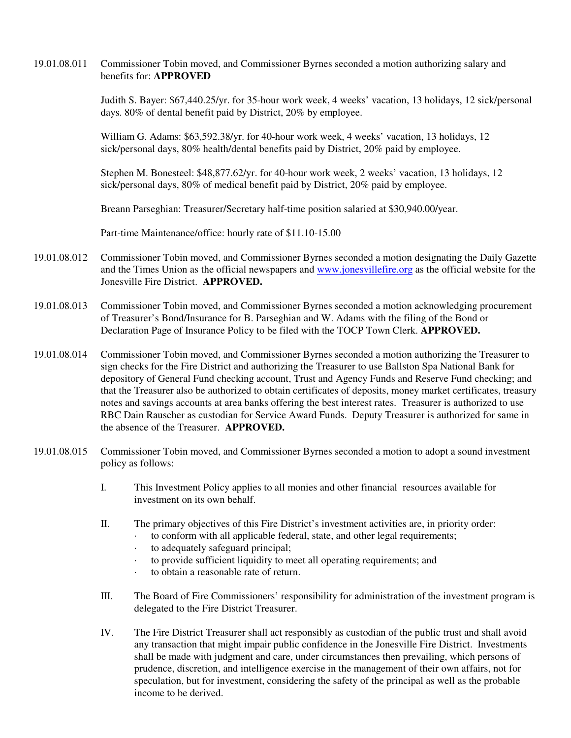## 19.01.08.011 Commissioner Tobin moved, and Commissioner Byrnes seconded a motion authorizing salary and benefits for: **APPROVED**

Judith S. Bayer: \$67,440.25/yr. for 35-hour work week, 4 weeks' vacation, 13 holidays, 12 sick/personal days. 80% of dental benefit paid by District, 20% by employee.

William G. Adams: \$63,592.38/yr. for 40-hour work week, 4 weeks' vacation, 13 holidays, 12 sick/personal days, 80% health/dental benefits paid by District, 20% paid by employee.

Stephen M. Bonesteel: \$48,877.62/yr. for 40-hour work week, 2 weeks' vacation, 13 holidays, 12 sick/personal days, 80% of medical benefit paid by District, 20% paid by employee.

Breann Parseghian: Treasurer/Secretary half-time position salaried at \$30,940.00/year.

Part-time Maintenance/office: hourly rate of \$11.10-15.00

- 19.01.08.012 Commissioner Tobin moved, and Commissioner Byrnes seconded a motion designating the Daily Gazette and the Times Union as the official newspapers and www.jonesvillefire.org as the official website for the Jonesville Fire District. **APPROVED.**
- 19.01.08.013 Commissioner Tobin moved, and Commissioner Byrnes seconded a motion acknowledging procurement of Treasurer's Bond/Insurance for B. Parseghian and W. Adams with the filing of the Bond or Declaration Page of Insurance Policy to be filed with the TOCP Town Clerk. **APPROVED.**
- 19.01.08.014 Commissioner Tobin moved, and Commissioner Byrnes seconded a motion authorizing the Treasurer to sign checks for the Fire District and authorizing the Treasurer to use Ballston Spa National Bank for depository of General Fund checking account, Trust and Agency Funds and Reserve Fund checking; and that the Treasurer also be authorized to obtain certificates of deposits, money market certificates, treasury notes and savings accounts at area banks offering the best interest rates. Treasurer is authorized to use RBC Dain Rauscher as custodian for Service Award Funds. Deputy Treasurer is authorized for same in the absence of the Treasurer. **APPROVED.**
- 19.01.08.015 Commissioner Tobin moved, and Commissioner Byrnes seconded a motion to adopt a sound investment policy as follows:
	- I. This Investment Policy applies to all monies and other financial resources available for investment on its own behalf.
	- II. The primary objectives of this Fire District's investment activities are, in priority order:
		- to conform with all applicable federal, state, and other legal requirements;
		- · to adequately safeguard principal;
		- to provide sufficient liquidity to meet all operating requirements; and
		- · to obtain a reasonable rate of return.
	- III. The Board of Fire Commissioners' responsibility for administration of the investment program is delegated to the Fire District Treasurer.
	- IV. The Fire District Treasurer shall act responsibly as custodian of the public trust and shall avoid any transaction that might impair public confidence in the Jonesville Fire District. Investments shall be made with judgment and care, under circumstances then prevailing, which persons of prudence, discretion, and intelligence exercise in the management of their own affairs, not for speculation, but for investment, considering the safety of the principal as well as the probable income to be derived.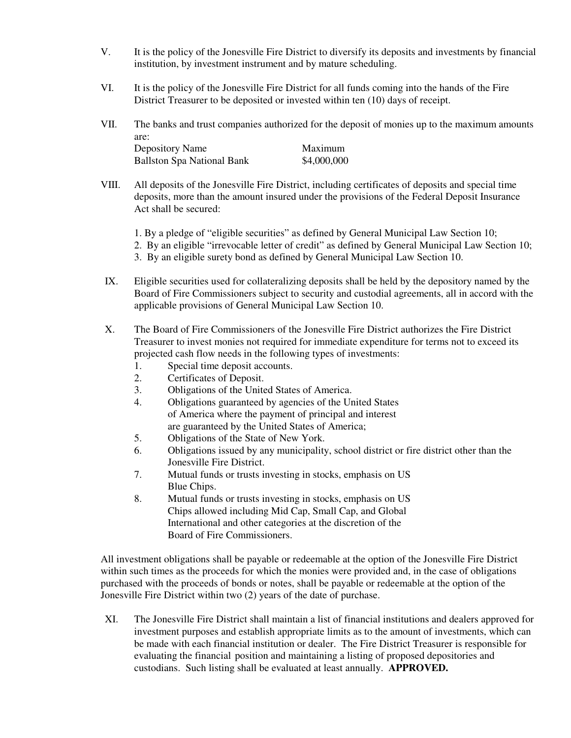- V. It is the policy of the Jonesville Fire District to diversify its deposits and investments by financial institution, by investment instrument and by mature scheduling.
- VI. It is the policy of the Jonesville Fire District for all funds coming into the hands of the Fire District Treasurer to be deposited or invested within ten (10) days of receipt.
- VII. The banks and trust companies authorized for the deposit of monies up to the maximum amounts are: Depository Name Maximum Ballston Spa National Bank \$4,000,000

| VIII. | All deposits of the Jonesville Fire District, including certificates of deposits and special time |
|-------|---------------------------------------------------------------------------------------------------|
|       | deposits, more than the amount insured under the provisions of the Federal Deposit Insurance      |
|       | Act shall be secured:                                                                             |

- 1. By a pledge of "eligible securities" as defined by General Municipal Law Section 10;
- 2. By an eligible "irrevocable letter of credit" as defined by General Municipal Law Section 10;
- 3. By an eligible surety bond as defined by General Municipal Law Section 10.
- IX. Eligible securities used for collateralizing deposits shall be held by the depository named by the Board of Fire Commissioners subject to security and custodial agreements, all in accord with the applicable provisions of General Municipal Law Section 10.
- X. The Board of Fire Commissioners of the Jonesville Fire District authorizes the Fire District Treasurer to invest monies not required for immediate expenditure for terms not to exceed its projected cash flow needs in the following types of investments:
	- 1. Special time deposit accounts.
	- 2. Certificates of Deposit.
	- 3. Obligations of the United States of America.
	- 4. Obligations guaranteed by agencies of the United States of America where the payment of principal and interest are guaranteed by the United States of America;
	- 5. Obligations of the State of New York.
	- 6. Obligations issued by any municipality, school district or fire district other than the Jonesville Fire District.
	- 7. Mutual funds or trusts investing in stocks, emphasis on US Blue Chips.
	- 8. Mutual funds or trusts investing in stocks, emphasis on US Chips allowed including Mid Cap, Small Cap, and Global International and other categories at the discretion of the Board of Fire Commissioners.

All investment obligations shall be payable or redeemable at the option of the Jonesville Fire District within such times as the proceeds for which the monies were provided and, in the case of obligations purchased with the proceeds of bonds or notes, shall be payable or redeemable at the option of the Jonesville Fire District within two (2) years of the date of purchase.

 XI. The Jonesville Fire District shall maintain a list of financial institutions and dealers approved for investment purposes and establish appropriate limits as to the amount of investments, which can be made with each financial institution or dealer. The Fire District Treasurer is responsible for evaluating the financial position and maintaining a listing of proposed depositories and custodians. Such listing shall be evaluated at least annually. **APPROVED.**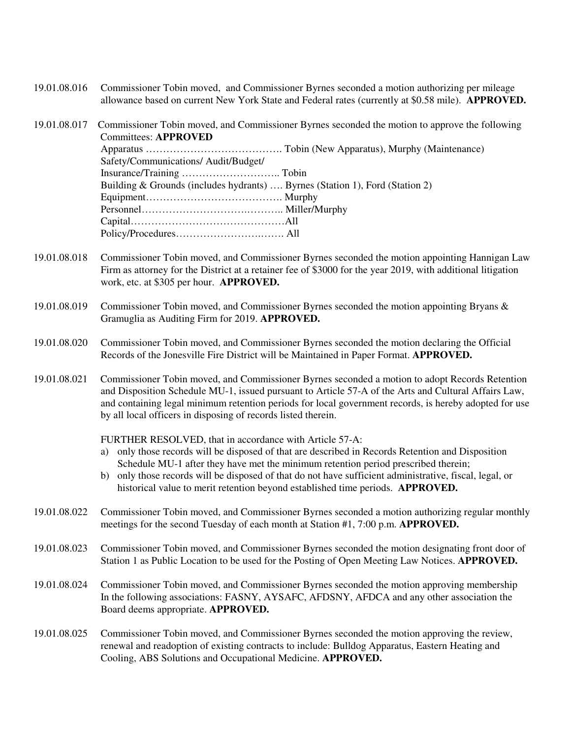- 19.01.08.016 Commissioner Tobin moved, and Commissioner Byrnes seconded a motion authorizing per mileage allowance based on current New York State and Federal rates (currently at \$0.58 mile). **APPROVED.**
- 19.01.08.017 Commissioner Tobin moved, and Commissioner Byrnes seconded the motion to approve the following Committees: **APPROVED** Apparatus …………………………………. Tobin (New Apparatus), Murphy (Maintenance) Safety/Communications/ Audit/Budget/ Insurance/Training ……………………….. Tobin Building & Grounds (includes hydrants) …. Byrnes (Station 1), Ford (Station 2) Equipment…………………………………. Murphy Personnel………………………….……….. Miller/Murphy Capital………………………………………All Policy/Procedures…………………….……. All
- 19.01.08.018 Commissioner Tobin moved, and Commissioner Byrnes seconded the motion appointing Hannigan Law Firm as attorney for the District at a retainer fee of \$3000 for the year 2019, with additional litigation work, etc. at \$305 per hour. **APPROVED.**
- 19.01.08.019 Commissioner Tobin moved, and Commissioner Byrnes seconded the motion appointing Bryans & Gramuglia as Auditing Firm for 2019. **APPROVED.**
- 19.01.08.020 Commissioner Tobin moved, and Commissioner Byrnes seconded the motion declaring the Official Records of the Jonesville Fire District will be Maintained in Paper Format. **APPROVED.**
- 19.01.08.021 Commissioner Tobin moved, and Commissioner Byrnes seconded a motion to adopt Records Retention and Disposition Schedule MU-1, issued pursuant to Article 57-A of the Arts and Cultural Affairs Law, and containing legal minimum retention periods for local government records, is hereby adopted for use by all local officers in disposing of records listed therein.

FURTHER RESOLVED, that in accordance with Article 57-A:

- a) only those records will be disposed of that are described in Records Retention and Disposition Schedule MU-1 after they have met the minimum retention period prescribed therein;
- b) only those records will be disposed of that do not have sufficient administrative, fiscal, legal, or historical value to merit retention beyond established time periods. **APPROVED.**
- 19.01.08.022 Commissioner Tobin moved, and Commissioner Byrnes seconded a motion authorizing regular monthly meetings for the second Tuesday of each month at Station #1, 7:00 p.m. **APPROVED.**
- 19.01.08.023 Commissioner Tobin moved, and Commissioner Byrnes seconded the motion designating front door of Station 1 as Public Location to be used for the Posting of Open Meeting Law Notices. **APPROVED.**
- 19.01.08.024 Commissioner Tobin moved, and Commissioner Byrnes seconded the motion approving membership In the following associations: FASNY, AYSAFC, AFDSNY, AFDCA and any other association the Board deems appropriate. **APPROVED.**
- 19.01.08.025 Commissioner Tobin moved, and Commissioner Byrnes seconded the motion approving the review, renewal and readoption of existing contracts to include: Bulldog Apparatus, Eastern Heating and Cooling, ABS Solutions and Occupational Medicine. **APPROVED.**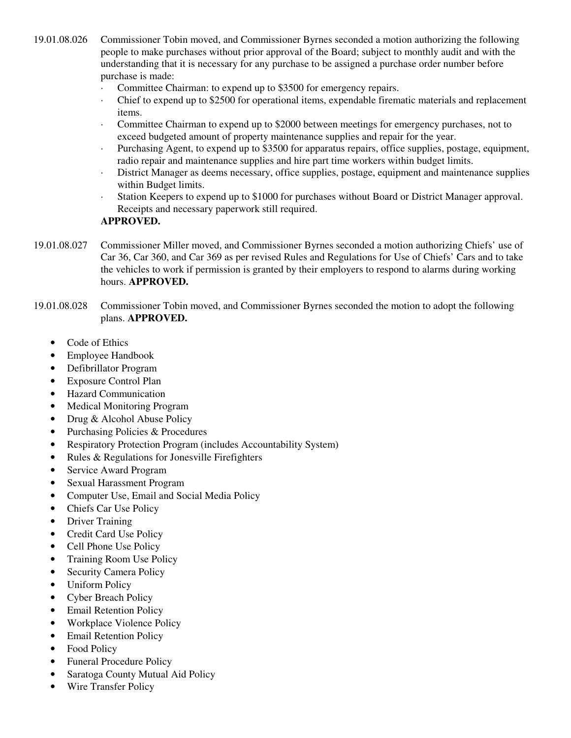19.01.08.026 Commissioner Tobin moved, and Commissioner Byrnes seconded a motion authorizing the following people to make purchases without prior approval of the Board; subject to monthly audit and with the understanding that it is necessary for any purchase to be assigned a purchase order number before purchase is made:

- Committee Chairman: to expend up to \$3500 for emergency repairs.
- · Chief to expend up to \$2500 for operational items, expendable firematic materials and replacement items.
- · Committee Chairman to expend up to \$2000 between meetings for emergency purchases, not to exceed budgeted amount of property maintenance supplies and repair for the year.
- · Purchasing Agent, to expend up to \$3500 for apparatus repairs, office supplies, postage, equipment, radio repair and maintenance supplies and hire part time workers within budget limits.
- · District Manager as deems necessary, office supplies, postage, equipment and maintenance supplies within Budget limits.
- Station Keepers to expend up to \$1000 for purchases without Board or District Manager approval. Receipts and necessary paperwork still required.

## **APPROVED.**

- 19.01.08.027 Commissioner Miller moved, and Commissioner Byrnes seconded a motion authorizing Chiefs' use of Car 36, Car 360, and Car 369 as per revised Rules and Regulations for Use of Chiefs' Cars and to take the vehicles to work if permission is granted by their employers to respond to alarms during working hours. **APPROVED.**
- 19.01.08.028 Commissioner Tobin moved, and Commissioner Byrnes seconded the motion to adopt the following plans. **APPROVED.**
	- Code of Ethics
	- Employee Handbook
	- Defibrillator Program
	- Exposure Control Plan
	- Hazard Communication
	- Medical Monitoring Program
	- Drug & Alcohol Abuse Policy
	- Purchasing Policies & Procedures
	- Respiratory Protection Program (includes Accountability System)
	- Rules & Regulations for Jonesville Firefighters
	- Service Award Program
	- Sexual Harassment Program
	- Computer Use, Email and Social Media Policy
	- Chiefs Car Use Policy
	- Driver Training
	- Credit Card Use Policy
	- Cell Phone Use Policy
	- Training Room Use Policy
	- Security Camera Policy
	- Uniform Policy
	- Cyber Breach Policy
	- **Email Retention Policy**
	- Workplace Violence Policy
	- **Email Retention Policy**
	- Food Policy
	- Funeral Procedure Policy
	- Saratoga County Mutual Aid Policy
	- Wire Transfer Policy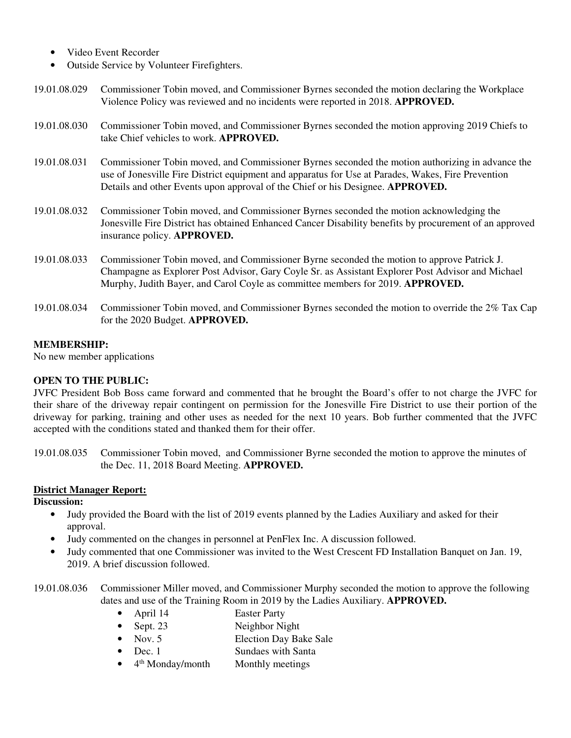- Video Event Recorder
- Outside Service by Volunteer Firefighters.
- 19.01.08.029 Commissioner Tobin moved, and Commissioner Byrnes seconded the motion declaring the Workplace Violence Policy was reviewed and no incidents were reported in 2018. **APPROVED.**
- 19.01.08.030 Commissioner Tobin moved, and Commissioner Byrnes seconded the motion approving 2019 Chiefs to take Chief vehicles to work. **APPROVED.**
- 19.01.08.031 Commissioner Tobin moved, and Commissioner Byrnes seconded the motion authorizing in advance the use of Jonesville Fire District equipment and apparatus for Use at Parades, Wakes, Fire Prevention Details and other Events upon approval of the Chief or his Designee. **APPROVED.**
- 19.01.08.032 Commissioner Tobin moved, and Commissioner Byrnes seconded the motion acknowledging the Jonesville Fire District has obtained Enhanced Cancer Disability benefits by procurement of an approved insurance policy. **APPROVED.**
- 19.01.08.033 Commissioner Tobin moved, and Commissioner Byrne seconded the motion to approve Patrick J. Champagne as Explorer Post Advisor, Gary Coyle Sr. as Assistant Explorer Post Advisor and Michael Murphy, Judith Bayer, and Carol Coyle as committee members for 2019. **APPROVED.**
- 19.01.08.034 Commissioner Tobin moved, and Commissioner Byrnes seconded the motion to override the 2% Tax Cap for the 2020 Budget. **APPROVED.**

#### **MEMBERSHIP:**

No new member applications

## **OPEN TO THE PUBLIC:**

JVFC President Bob Boss came forward and commented that he brought the Board's offer to not charge the JVFC for their share of the driveway repair contingent on permission for the Jonesville Fire District to use their portion of the driveway for parking, training and other uses as needed for the next 10 years. Bob further commented that the JVFC accepted with the conditions stated and thanked them for their offer.

19.01.08.035 Commissioner Tobin moved, and Commissioner Byrne seconded the motion to approve the minutes of the Dec. 11, 2018 Board Meeting. **APPROVED.**

## **District Manager Report:**

#### **Discussion:**

- Judy provided the Board with the list of 2019 events planned by the Ladies Auxiliary and asked for their approval.
- Judy commented on the changes in personnel at PenFlex Inc. A discussion followed.
- Judy commented that one Commissioner was invited to the West Crescent FD Installation Banquet on Jan. 19, 2019. A brief discussion followed.
- 19.01.08.036 Commissioner Miller moved, and Commissioner Murphy seconded the motion to approve the following dates and use of the Training Room in 2019 by the Ladies Auxiliary. **APPROVED.**
	- April 14 Easter Party
	- Sept. 23 Neighbor Night
	- Nov. 5 Election Day Bake Sale
	- Dec. 1 Sundaes with Santa
	- $\bullet$  4<sup>th</sup> Monday/month Monthly meetings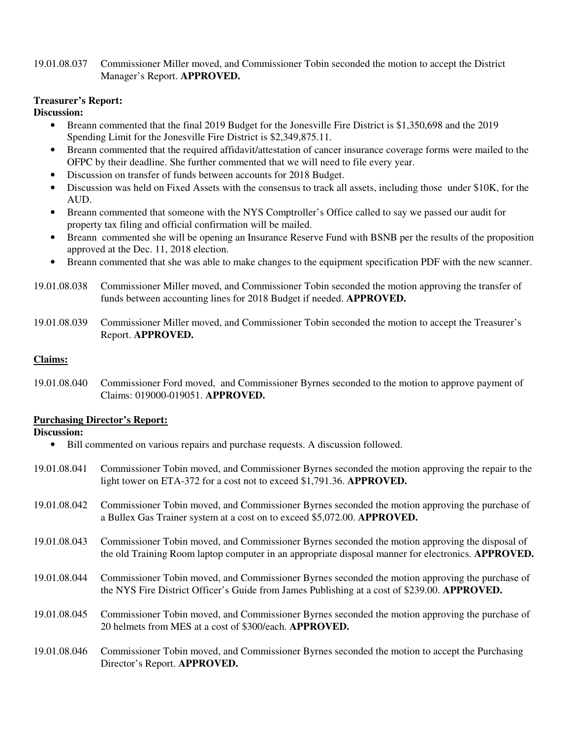## 19.01.08.037 Commissioner Miller moved, and Commissioner Tobin seconded the motion to accept the District Manager's Report. **APPROVED.**

## **Treasurer's Report:**

## **Discussion:**

- Breann commented that the final 2019 Budget for the Jonesville Fire District is \$1,350,698 and the 2019 Spending Limit for the Jonesville Fire District is \$2,349,875.11.
- Breann commented that the required affidavit/attestation of cancer insurance coverage forms were mailed to the OFPC by their deadline. She further commented that we will need to file every year.
- Discussion on transfer of funds between accounts for 2018 Budget.
- Discussion was held on Fixed Assets with the consensus to track all assets, including those under \$10K, for the AUD.
- Breann commented that someone with the NYS Comptroller's Office called to say we passed our audit for property tax filing and official confirmation will be mailed.
- Breann commented she will be opening an Insurance Reserve Fund with BSNB per the results of the proposition approved at the Dec. 11, 2018 election.
- Breann commented that she was able to make changes to the equipment specification PDF with the new scanner.
- 19.01.08.038 Commissioner Miller moved, and Commissioner Tobin seconded the motion approving the transfer of funds between accounting lines for 2018 Budget if needed. **APPROVED.**
- 19.01.08.039 Commissioner Miller moved, and Commissioner Tobin seconded the motion to accept the Treasurer's Report. **APPROVED.**

## **Claims:**

19.01.08.040 Commissioner Ford moved, and Commissioner Byrnes seconded to the motion to approve payment of Claims: 019000-019051. **APPROVED.**

## **Purchasing Director's Report:**

## **Discussion:**

- Bill commented on various repairs and purchase requests. A discussion followed.
- 19.01.08.041 Commissioner Tobin moved, and Commissioner Byrnes seconded the motion approving the repair to the light tower on ETA-372 for a cost not to exceed \$1,791.36. **APPROVED.**
- 19.01.08.042 Commissioner Tobin moved, and Commissioner Byrnes seconded the motion approving the purchase of a Bullex Gas Trainer system at a cost on to exceed \$5,072.00. **APPROVED.**
- 19.01.08.043 Commissioner Tobin moved, and Commissioner Byrnes seconded the motion approving the disposal of the old Training Room laptop computer in an appropriate disposal manner for electronics. **APPROVED.**
- 19.01.08.044 Commissioner Tobin moved, and Commissioner Byrnes seconded the motion approving the purchase of the NYS Fire District Officer's Guide from James Publishing at a cost of \$239.00. **APPROVED.**
- 19.01.08.045 Commissioner Tobin moved, and Commissioner Byrnes seconded the motion approving the purchase of 20 helmets from MES at a cost of \$300/each. **APPROVED.**
- 19.01.08.046 Commissioner Tobin moved, and Commissioner Byrnes seconded the motion to accept the Purchasing Director's Report. **APPROVED.**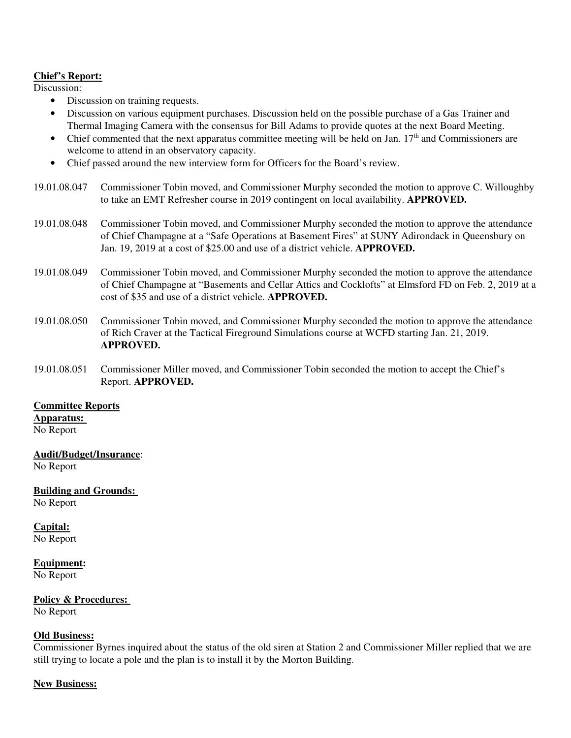## **Chief's Report:**

Discussion:

- Discussion on training requests.
- Discussion on various equipment purchases. Discussion held on the possible purchase of a Gas Trainer and Thermal Imaging Camera with the consensus for Bill Adams to provide quotes at the next Board Meeting.
- Chief commented that the next apparatus committee meeting will be held on Jan.  $17<sup>th</sup>$  and Commissioners are welcome to attend in an observatory capacity.
- Chief passed around the new interview form for Officers for the Board's review.
- 19.01.08.047 Commissioner Tobin moved, and Commissioner Murphy seconded the motion to approve C. Willoughby to take an EMT Refresher course in 2019 contingent on local availability. **APPROVED.**
- 19.01.08.048 Commissioner Tobin moved, and Commissioner Murphy seconded the motion to approve the attendance of Chief Champagne at a "Safe Operations at Basement Fires" at SUNY Adirondack in Queensbury on Jan. 19, 2019 at a cost of \$25.00 and use of a district vehicle. **APPROVED.**
- 19.01.08.049 Commissioner Tobin moved, and Commissioner Murphy seconded the motion to approve the attendance of Chief Champagne at "Basements and Cellar Attics and Cocklofts" at Elmsford FD on Feb. 2, 2019 at a cost of \$35 and use of a district vehicle. **APPROVED.**
- 19.01.08.050 Commissioner Tobin moved, and Commissioner Murphy seconded the motion to approve the attendance of Rich Craver at the Tactical Fireground Simulations course at WCFD starting Jan. 21, 2019. **APPROVED.**
- 19.01.08.051 Commissioner Miller moved, and Commissioner Tobin seconded the motion to accept the Chief's Report. **APPROVED.**

## **Committee Reports**

**Apparatus:** 

No Report

## **Audit/Budget/Insurance**:

No Report

## **Building and Grounds:**

No Report

## **Capital:**

No Report

## **Equipment:**

No Report

## **Policy & Procedures:**

No Report

## **Old Business:**

Commissioner Byrnes inquired about the status of the old siren at Station 2 and Commissioner Miller replied that we are still trying to locate a pole and the plan is to install it by the Morton Building.

## **New Business:**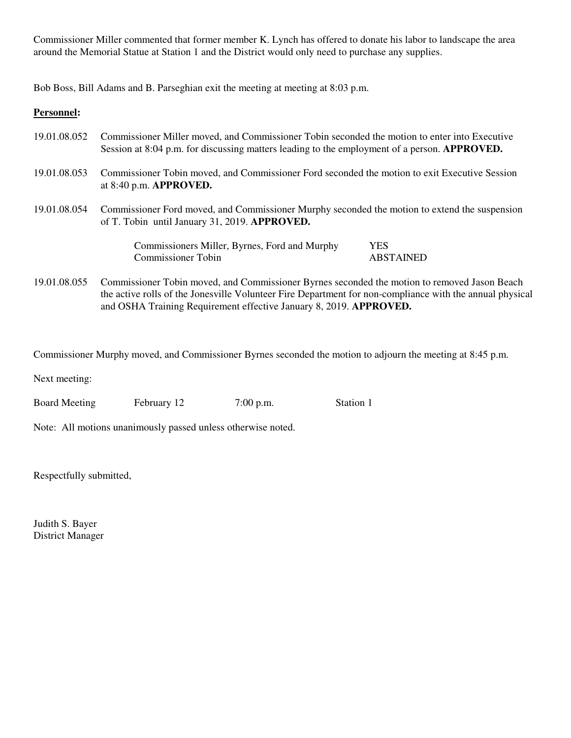Commissioner Miller commented that former member K. Lynch has offered to donate his labor to landscape the area around the Memorial Statue at Station 1 and the District would only need to purchase any supplies.

Bob Boss, Bill Adams and B. Parseghian exit the meeting at meeting at 8:03 p.m.

## **Personnel:**

| 19.01.08.052 | Commissioner Miller moved, and Commissioner Tobin seconded the motion to enter into Executive<br>Session at 8:04 p.m. for discussing matters leading to the employment of a person. APPROVED.                                                                                  |                  |  |
|--------------|--------------------------------------------------------------------------------------------------------------------------------------------------------------------------------------------------------------------------------------------------------------------------------|------------------|--|
| 19.01.08.053 | Commissioner Tobin moved, and Commissioner Ford seconded the motion to exit Executive Session<br>at $8:40$ p.m. APPROVED.                                                                                                                                                      |                  |  |
| 19.01.08.054 | Commissioner Ford moved, and Commissioner Murphy seconded the motion to extend the suspension<br>of T. Tobin until January 31, 2019. APPROVED.                                                                                                                                 |                  |  |
|              | Commissioners Miller, Byrnes, Ford and Murphy                                                                                                                                                                                                                                  | <b>YES</b>       |  |
|              | <b>Commissioner Tobin</b>                                                                                                                                                                                                                                                      | <b>ABSTAINED</b> |  |
| 19.01.08.055 | Commissioner Tobin moved, and Commissioner Byrnes seconded the motion to removed Jason Beach<br>the active rolls of the Jonesville Volunteer Fire Department for non-compliance with the annual physical<br>and OSHA Training Requirement effective January 8, 2019. APPROVED. |                  |  |

Commissioner Murphy moved, and Commissioner Byrnes seconded the motion to adjourn the meeting at 8:45 p.m.

Next meeting:

Board Meeting February 12 7:00 p.m. Station 1

Note: All motions unanimously passed unless otherwise noted.

Respectfully submitted,

Judith S. Bayer District Manager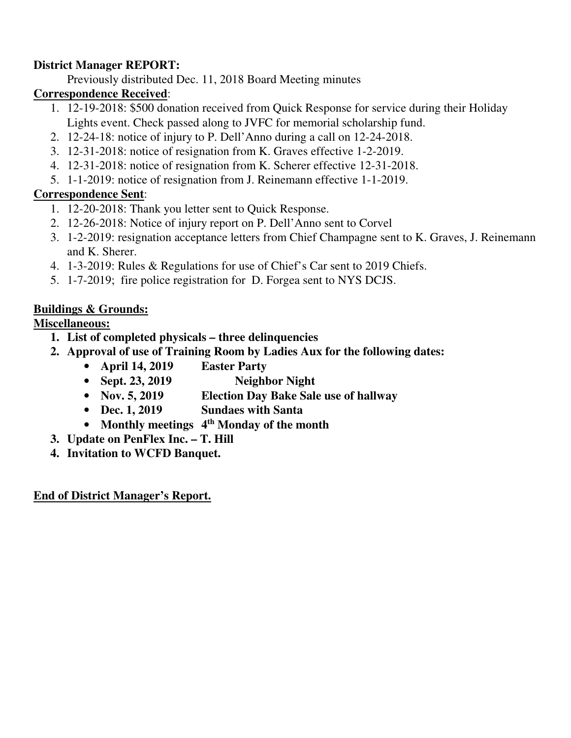# **District Manager REPORT:**

Previously distributed Dec. 11, 2018 Board Meeting minutes

# **Correspondence Received**:

- 1. 12-19-2018: \$500 donation received from Quick Response for service during their Holiday Lights event. Check passed along to JVFC for memorial scholarship fund.
- 2. 12-24-18: notice of injury to P. Dell'Anno during a call on 12-24-2018.
- 3. 12-31-2018: notice of resignation from K. Graves effective 1-2-2019.
- 4. 12-31-2018: notice of resignation from K. Scherer effective 12-31-2018.
- 5. 1-1-2019: notice of resignation from J. Reinemann effective 1-1-2019.

# **Correspondence Sent**:

- 1. 12-20-2018: Thank you letter sent to Quick Response.
- 2. 12-26-2018: Notice of injury report on P. Dell'Anno sent to Corvel
- 3. 1-2-2019: resignation acceptance letters from Chief Champagne sent to K. Graves, J. Reinemann and K. Sherer.
- 4. 1-3-2019: Rules & Regulations for use of Chief's Car sent to 2019 Chiefs.
- 5. 1-7-2019; fire police registration for D. Forgea sent to NYS DCJS.

# **Buildings & Grounds:**

# **Miscellaneous:**

- **1. List of completed physicals three delinquencies**
- **2. Approval of use of Training Room by Ladies Aux for the following dates:** 
	- **April 14, 2019 Easter Party**
	- Sept. 23, 2019 Neighbor Night
	- **Nov. 5, 2019 Election Day Bake Sale use of hallway**
	- **Dec. 1, 2019 Sundaes with Santa**
	- **Monthly meetings 4th Monday of the month**
- **3. Update on PenFlex Inc. T. Hill**
- **4. Invitation to WCFD Banquet.**

# **End of District Manager's Report.**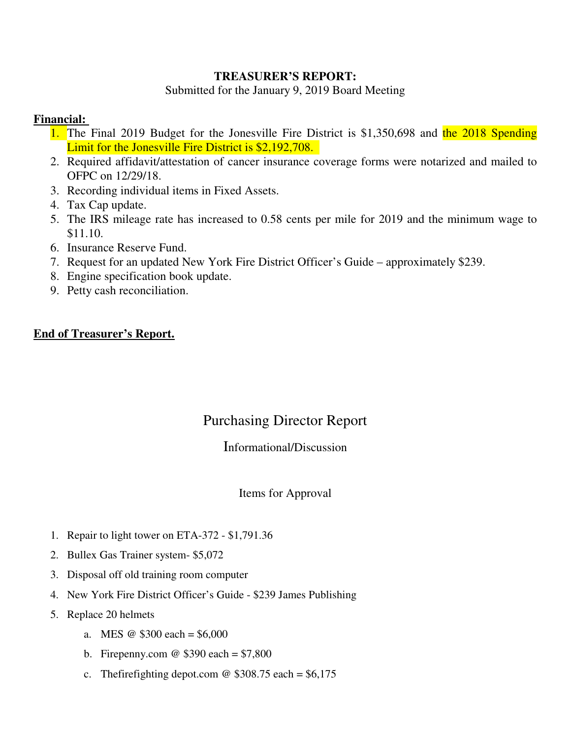## **TREASURER'S REPORT:**

Submitted for the January 9, 2019 Board Meeting

## **Financial:**

- 1. The Final 2019 Budget for the Jonesville Fire District is \$1,350,698 and the 2018 Spending Limit for the Jonesville Fire District is \$2,192,708.
- 2. Required affidavit/attestation of cancer insurance coverage forms were notarized and mailed to OFPC on 12/29/18.
- 3. Recording individual items in Fixed Assets.
- 4. Tax Cap update.
- 5. The IRS mileage rate has increased to 0.58 cents per mile for 2019 and the minimum wage to \$11.10.
- 6. Insurance Reserve Fund.
- 7. Request for an updated New York Fire District Officer's Guide approximately \$239.
- 8. Engine specification book update.
- 9. Petty cash reconciliation.

## **End of Treasurer's Report.**

# Purchasing Director Report

# Informational/Discussion

## Items for Approval

- 1. Repair to light tower on ETA-372 \$1,791.36
- 2. Bullex Gas Trainer system- \$5,072
- 3. Disposal off old training room computer
- 4. New York Fire District Officer's Guide \$239 James Publishing
- 5. Replace 20 helmets
	- a. MES  $\omega$  \$300 each = \$6,000
	- b. Firepenny.com  $\omega$  \$390 each = \$7,800
	- c. The firefighting depot.com  $\omega$  \$308.75 each = \$6,175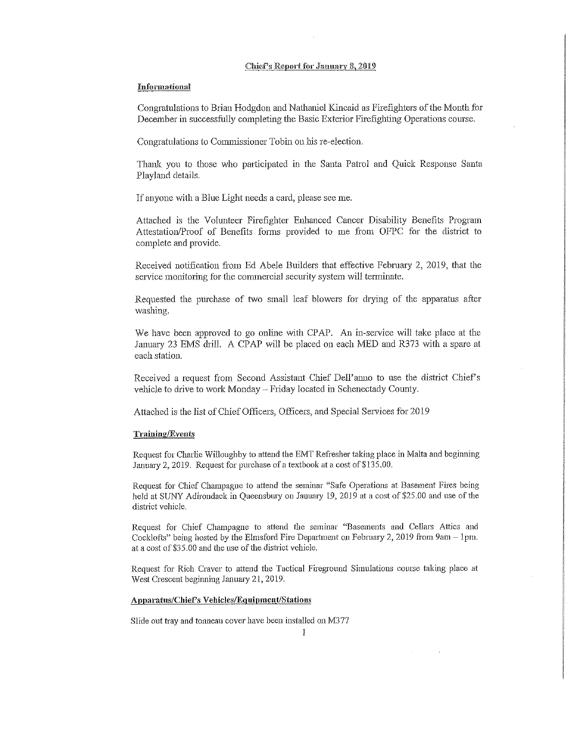#### Chief's Report for January 8, 2019

#### Informational

Congratulations to Brian Hodgdon and Nathaniel Kincaid as Firefighters of the Month for December in successfully completing the Basic Exterior Firefighting Operations course.

Congratulations to Commissioner Tobin on his re-election.

Thank you to those who participated in the Santa Patrol and Quick Response Santa Playland details.

If anyone with a Blue Light needs a card, please see me.

Attached is the Volunteer Firefighter Enhanced Cancer Disability Benefits Program Attestation/Proof of Benefits forms provided to me from OFPC for the district to complete and provide.

Received notification from Ed Abele Builders that effective February 2, 2019, that the service monitoring for the commercial security system will terminate.

Requested the purchase of two small leaf blowers for drying of the apparatus after washing.

We have been approved to go online with CPAP. An in-service will take place at the January 23 EMS drill. A CPAP will be placed on each MED and R373 with a spare at each station.

Received a request from Second Assistant Chief Dell'anno to use the district Chief's vehicle to drive to work Monday - Friday located in Schenectady County.

Attached is the list of Chief Officers, Officers, and Special Services for 2019

#### **Training/Events**

Request for Charlie Willoughby to attend the EMT Refresher taking place in Malta and beginning January 2, 2019. Request for purchase of a textbook at a cost of \$135.00.

Request for Chief Champagne to attend the seminar "Safe Operations at Basement Fires being held at SUNY Adirondack in Queensbury on January 19, 2019 at a cost of \$25.00 and use of the district vehicle.

Request for Chief Champagne to attend the seminar "Basements and Cellars Attics and Cocklofts" being hosted by the Elmsford Fire Department on February 2, 2019 from 9am - 1pm. at a cost of \$35.00 and the use of the district vehicle.

Request for Rich Craver to attend the Tactical Fireground Simulations course taking place at West Crescent beginning January 21, 2019.

#### Apparatus/Chief's Vehicles/Equipment/Stations

Slide out tray and tonneau cover have been installed on M377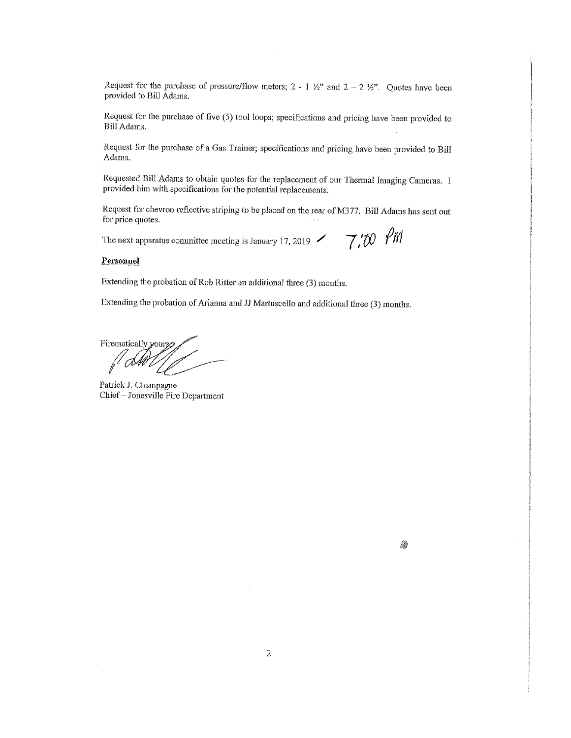Request for the purchase of pressure/flow meters;  $2 - 1 \frac{1}{2}$  and  $2 - 2 \frac{1}{2}$ . Quotes have been provided to Bill Adams.

Request for the purchase of five (5) tool loops; specifications and pricing have been provided to Bill Adams.

Request for the purchase of a Gas Trainer; specifications and pricing have been provided to Bill Adams.

Requested Bill Adams to obtain quotes for the replacement of our Thermal Imaging Cameras. I provided him with specifications for the potential replacements.

Request for chevron reflective striping to be placed on the rear of M377. Bill Adams has sent out for price quotes.

The next apparatus committee meeting is January 17, 2019  $\sim$  7.00  $\gamma$ 

#### Personnel

Extending the probation of Rob Ritter an additional three (3) months.

Extending the probation of Arianna and JJ Martuscello and additional three (3) months.

Firematically yours,

Patrick J. Champagne Chief-Jonesville Fire Department

8